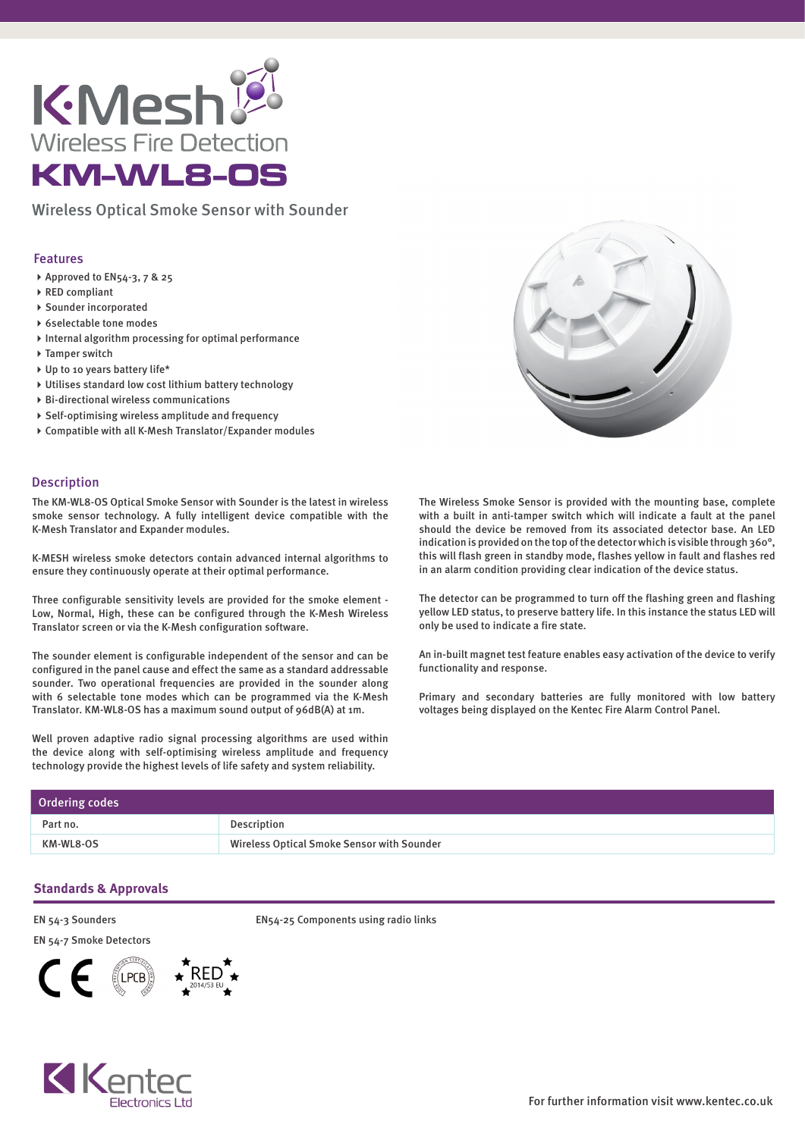

Wireless Optical Smoke Sensor with Sounder

## Features

- ▶ Approved to EN54-3, 7 & 25
- ▶ RED compliant
- Sounder incorporated
- 6selectable tone modes
- $\blacktriangleright$  Internal algorithm processing for optimal performance
- ▶ Tamper switch
- Up to 10 years battery life\*
- Utilises standard low cost lithium battery technology
- Bi-directional wireless communications
- Self-optimising wireless amplitude and frequency
- Compatible with all K-Mesh Translator/Expander modules

## Description

The KM-WL8-OS Optical Smoke Sensor with Sounder is the latest in wireless smoke sensor technology. A fully intelligent device compatible with the K-Mesh Translator and Expander modules.

K-MESH wireless smoke detectors contain advanced internal algorithms to ensure they continuously operate at their optimal performance.

Three configurable sensitivity levels are provided for the smoke element - Low, Normal, High, these can be configured through the K-Mesh Wireless Translator screen or via the K-Mesh configuration software.

The sounder element is configurable independent of the sensor and can be configured in the panel cause and effect the same as a standard addressable sounder. Two operational frequencies are provided in the sounder along with 6 selectable tone modes which can be programmed via the K-Mesh Translator. KM-WL8-OS has a maximum sound output of 96dB(A) at 1m.

Well proven adaptive radio signal processing algorithms are used within the device along with self-optimising wireless amplitude and frequency technology provide the highest levels of life safety and system reliability.



The Wireless Smoke Sensor is provided with the mounting base, complete with a built in anti-tamper switch which will indicate a fault at the panel should the device be removed from its associated detector base. An LED indication is provided on the top of the detector which is visible through 360°, this will flash green in standby mode, flashes yellow in fault and flashes red in an alarm condition providing clear indication of the device status.

The detector can be programmed to turn off the flashing green and flashing yellow LED status, to preserve battery life. In this instance the status LED will only be used to indicate a fire state.

An in-built magnet test feature enables easy activation of the device to verify functionality and response.

Primary and secondary batteries are fully monitored with low battery voltages being displayed on the Kentec Fire Alarm Control Panel.

| Ordering codes |                                                   |
|----------------|---------------------------------------------------|
| Part no.       | Description                                       |
| KM-WL8-OS      | <b>Wireless Optical Smoke Sensor with Sounder</b> |

## **Standards & Approvals**

EN 54-3 Sounders

EN 54-7 Smoke Detectors





EN54-25 Components using radio links